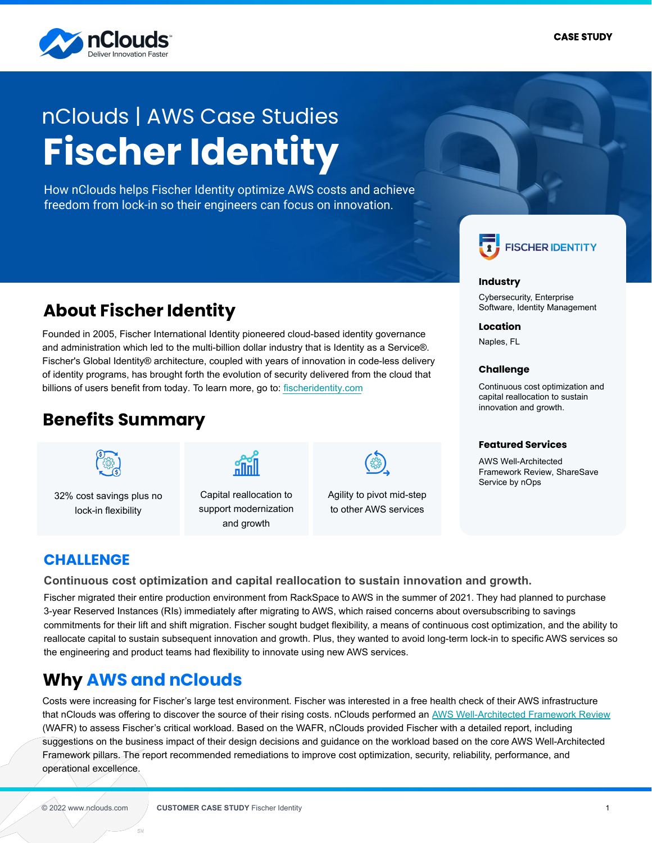

# **Fischer Identity** nClouds | AWS Case Studies

How nClouds helps Fischer Identity optimize AWS costs and achieve freedom from lock-in so their engineers can focus on innovation.



### **Industry**

Cybersecurity, Enterprise Software, Identity Management

#### **Location**

Naples, FL

#### **Challenge**

Continuous cost optimization and capital reallocation to sustain innovation and growth.

#### **Featured Services**

AWS Well-Architected Framework Review, ShareSave Service by nOps

# **About Fischer Identity**

Founded in 2005, Fischer International Identity pioneered cloud-based identity governance and administration which led to the multi-billion dollar industry that is Identity as a Service®. Fischer's Global Identity® architecture, coupled with years of innovation in code-less delivery of identity programs, has brought forth the evolution of security delivered from the cloud that billions of users benefit from today. To learn more, go to: [fischeridentity.com](http://www.fischeridentity.com/)

# **Benefits Summary**



32% cost savings plus no lock-in flexibility



Capital reallocation to support modernization and growth

Agility to pivot mid-step to other AWS services

### **CHALLENGE**

**Continuous cost optimization and capital reallocation to sustain innovation and growth.**

Fischer migrated their entire production environment from RackSpace to AWS in the summer of 2021. They had planned to purchase 3-year Reserved Instances (RIs) immediately after migrating to AWS, which raised concerns about oversubscribing to savings commitments for their lift and shift migration. Fischer sought budget flexibility, a means of continuous cost optimization, and the ability to reallocate capital to sustain subsequent innovation and growth. Plus, they wanted to avoid long-term lock-in to specific AWS services so the engineering and product teams had flexibility to innovate using new AWS services.

# **Why AWS and nClouds**

Costs were increasing for Fischer's large test environment. Fischer was interested in a free health check of their AWS infrastructure that nClouds was offering to discover the source of their rising costs. nClouds performed an [AWS Well-Architected Framework Review](https://www.nclouds.com/solutions/aws-well-architected-reviews?__hstc=223997572.a1845363350f6d49d0c4a542a983d315.1626141130479.1633702441220.1633937921909.200&__hssc=223997572.2.1633937921909&__hsfp=1531210179) (WAFR) to assess Fischer's critical workload. Based on the WAFR, nClouds provided Fischer with a detailed report, including suggestions on the business impact of their design decisions and guidance on the workload based on the core AWS Well-Architected Framework pillars. The report recommended remediations to improve cost optimization, security, reliability, performance, and operational excellence.